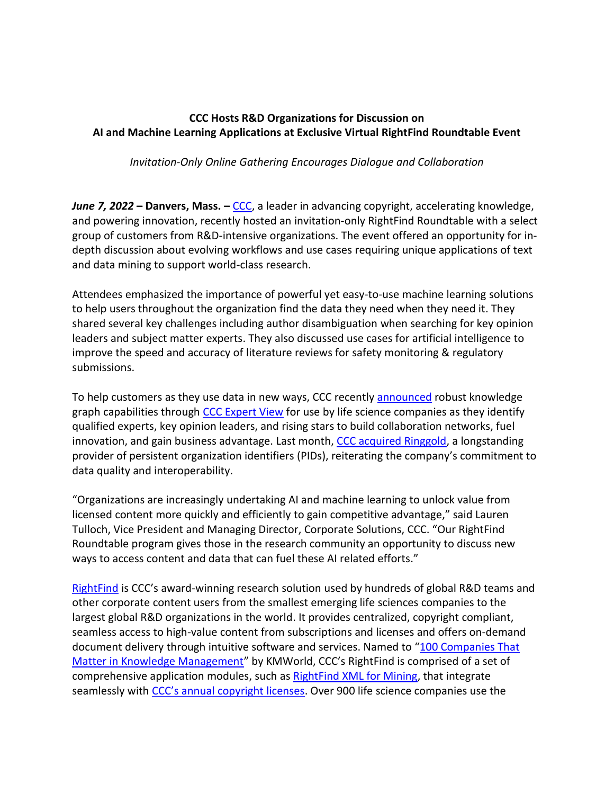## **CCC Hosts R&D Organizations for Discussion on AI and Machine Learning Applications at Exclusive Virtual RightFind Roundtable Event**

*Invitation-Only Online Gathering Encourages Dialogue and Collaboration*

*June 7, 2022* **– Danvers, Mass. –** [CCC,](http://www.copyright.com/) a leader in advancing copyright, accelerating knowledge, and powering innovation, recently hosted an invitation-only RightFind Roundtable with a select group of customers from R&D-intensive organizations. The event offered an opportunity for indepth discussion about evolving workflows and use cases requiring unique applications of text and data mining to support world-class research.

Attendees emphasized the importance of powerful yet easy-to-use machine learning solutions to help users throughout the organization find the data they need when they need it. They shared several key challenges including author disambiguation when searching for key opinion leaders and subject matter experts. They also discussed use cases for artificial intelligence to improve the speed and accuracy of literature reviews for safety monitoring & regulatory submissions.

To help customers as they use data in new ways, CCC recently [announced](https://www.copyright.com/ccc-announces-robust-knowledge-graph-capabilities-through-ccc-expert-view/) robust knowledge graph capabilities through [CCC Expert View](https://www.copyright.com/businesses/ccc-expert-view/) for use by life science companies as they identify qualified experts, key opinion leaders, and rising stars to build collaboration networks, fuel innovation, and gain business advantage. Last month, [CCC acquired Ringgold,](https://www.copyright.com/ccc-announces-acquisition-of-ringgold-leading-provider-of-organization-identifiers-in-scholarly-communications/) a longstanding provider of persistent organization identifiers (PIDs), reiterating the company's commitment to data quality and interoperability.

"Organizations are increasingly undertaking AI and machine learning to unlock value from licensed content more quickly and efficiently to gain competitive advantage," said Lauren Tulloch, Vice President and Managing Director, Corporate Solutions, CCC. "Our RightFind Roundtable program gives those in the research community an opportunity to discuss new ways to access content and data that can fuel these AI related efforts."

[RightFind](http://www.copyright.com/business/rightfind/) is CCC's award-winning research solution used by hundreds of global R&D teams and other corporate content users from the smallest emerging life sciences companies to the largest global R&D organizations in the world. It provides centralized, copyright compliant, seamless access to high-value content from subscriptions and licenses and offers on-demand document delivery through intuitive software and services. Named to "[100 Companies That](https://www.copyright.com/ccc-named-to-kmworld-100-companies-that-matter-in-knowledge-management-2022/)  [Matter in Knowledge Management](https://www.copyright.com/ccc-named-to-kmworld-100-companies-that-matter-in-knowledge-management-2022/)" by KMWorld, CCC's RightFind is comprised of a set of comprehensive application modules, such as [RightFind XML for Mining,](https://www.copyright.com/businesses/xmlformining/) that integrate seamlessly with [CCC's annual copyright licenses](http://www.copyright.com/business/annual-copyright-license/). Over 900 life science companies use the